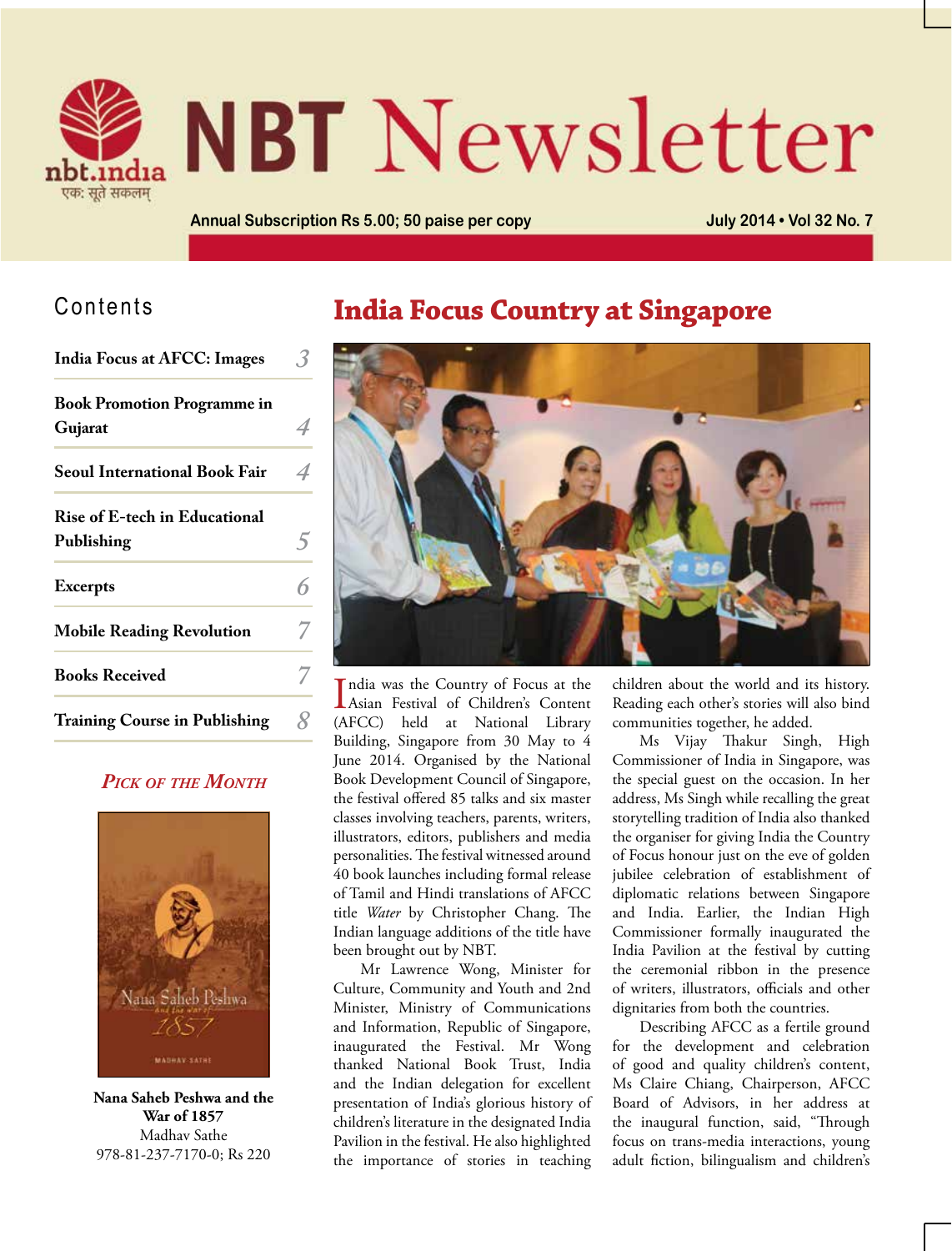

# **NBT** Newsletter

**Annual Subscription Rs 5.00; 50 paise per copy July 2014 • Vol 32 No. 7**

## Contents

| <b>India Focus at AFCC: Images</b>                 |   |
|----------------------------------------------------|---|
| <b>Book Promotion Programme in</b><br>Gujarat      |   |
| <b>Seoul International Book Fair</b>               | 4 |
| <b>Rise of E-tech in Educational</b><br>Publishing |   |
| <b>Excerpts</b>                                    |   |
| <b>Mobile Reading Revolution</b>                   |   |
| <b>Books Received</b>                              |   |
| <b>Training Course in Publishing</b>               |   |

## *Pick of the Month*



**Nana Saheb Peshwa and the War of 1857** Madhav Sathe 978-81-237-7170-0; Rs 220

## **India Focus Country at Singapore**



India was the Country of Focus at the<br>Asian Festival of Children's Content ndia was the Country of Focus at the (AFCC) held at National Library Building, Singapore from 30 May to 4 June 2014. Organised by the National Book Development Council of Singapore, the festival offered 85 talks and six master classes involving teachers, parents, writers, illustrators, editors, publishers and media personalities. The festival witnessed around 40 book launches including formal release of Tamil and Hindi translations of AFCC title *Water* by Christopher Chang. The Indian language additions of the title have been brought out by NBT.

Mr Lawrence Wong, Minister for Culture, Community and Youth and 2nd Minister, Ministry of Communications and Information, Republic of Singapore, inaugurated the Festival. Mr Wong thanked National Book Trust, India and the Indian delegation for excellent presentation of India's glorious history of children's literature in the designated India Pavilion in the festival. He also highlighted the importance of stories in teaching children about the world and its history. Reading each other's stories will also bind communities together, he added.

Ms Vijay Thakur Singh, High Commissioner of India in Singapore, was the special guest on the occasion. In her address, Ms Singh while recalling the great storytelling tradition of India also thanked the organiser for giving India the Country of Focus honour just on the eve of golden jubilee celebration of establishment of diplomatic relations between Singapore and India. Earlier, the Indian High Commissioner formally inaugurated the India Pavilion at the festival by cutting the ceremonial ribbon in the presence of writers, illustrators, officials and other dignitaries from both the countries.

Describing AFCC as a fertile ground for the development and celebration of good and quality children's content, Ms Claire Chiang, Chairperson, AFCC Board of Advisors, in her address at the inaugural function, said, "Through focus on trans-media interactions, young adult fiction, bilingualism and children's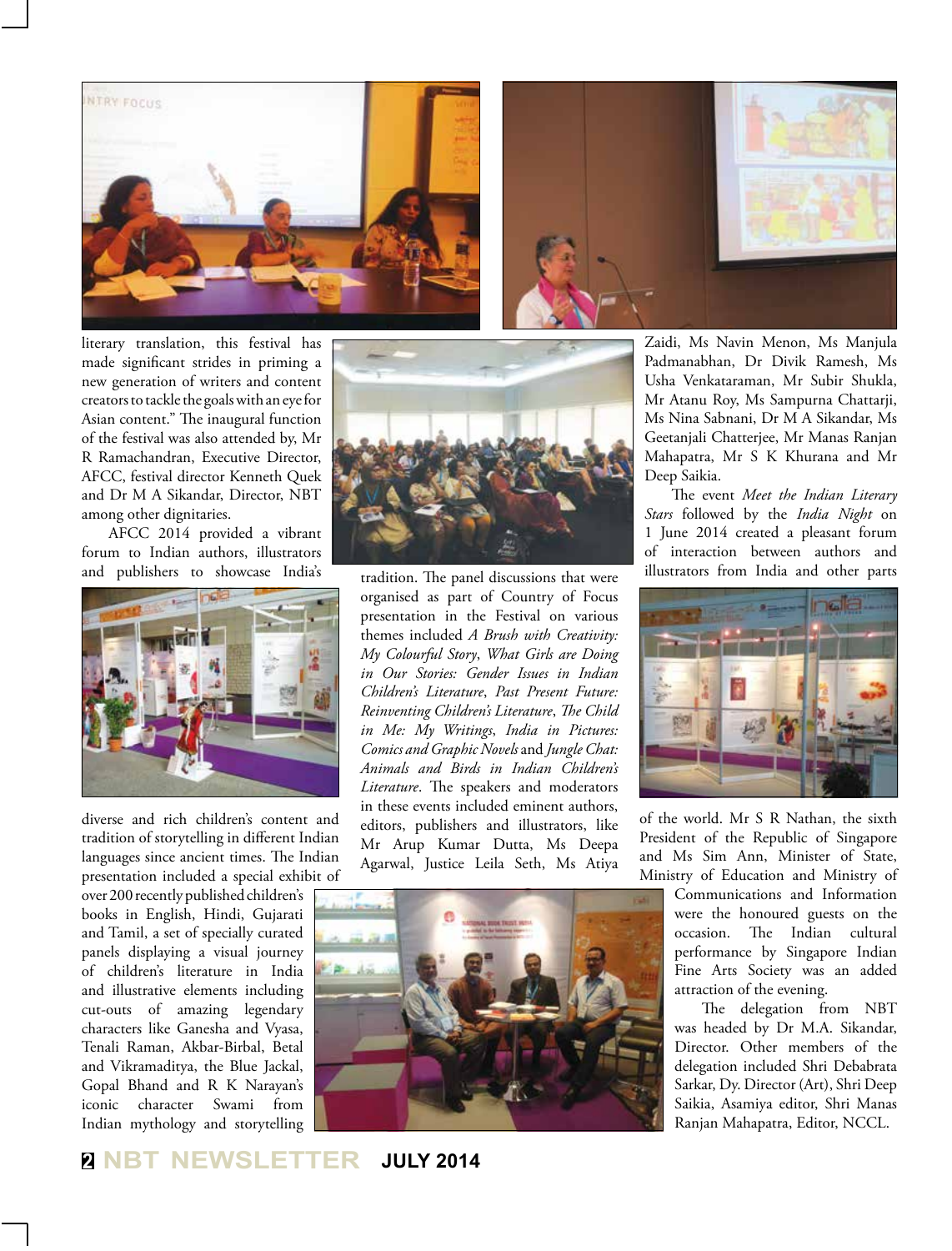



literary translation, this festival has made significant strides in priming a new generation of writers and content creators to tackle the goals with an eye for Asian content." The inaugural function of the festival was also attended by, Mr R Ramachandran, Executive Director, AFCC, festival director Kenneth Quek and Dr M A Sikandar, Director, NBT among other dignitaries.

AFCC 2014 provided a vibrant forum to Indian authors, illustrators and publishers to showcase India's



diverse and rich children's content and tradition of storytelling in different Indian languages since ancient times. The Indian presentation included a special exhibit of

over 200 recently published children's books in English, Hindi, Gujarati and Tamil, a set of specially curated panels displaying a visual journey of children's literature in India and illustrative elements including cut-outs of amazing legendary characters like Ganesha and Vyasa, Tenali Raman, Akbar-Birbal, Betal and Vikramaditya, the Blue Jackal, Gopal Bhand and R K Narayan's iconic character Swami from Indian mythology and storytelling



tradition. The panel discussions that were organised as part of Country of Focus presentation in the Festival on various themes included *A Brush with Creativity: My Colourful Story*, *What Girls are Doing in Our Stories: Gender Issues in Indian Children's Literature*, *Past Present Future: Reinventing Children's Literature*, *The Child in Me: My Writings*, *India in Pictures: Comics and Graphic Novels* and *Jungle Chat: Animals and Birds in Indian Children's Literature*. The speakers and moderators in these events included eminent authors, editors, publishers and illustrators, like Mr Arup Kumar Dutta, Ms Deepa Agarwal, Justice Leila Seth, Ms Atiya



Zaidi, Ms Navin Menon, Ms Manjula Padmanabhan, Dr Divik Ramesh, Ms Usha Venkataraman, Mr Subir Shukla, Mr Atanu Roy, Ms Sampurna Chattarji, Ms Nina Sabnani, Dr M A Sikandar, Ms Geetanjali Chatterjee, Mr Manas Ranjan Mahapatra, Mr S K Khurana and Mr Deep Saikia.

The event *Meet the Indian Literary Stars* followed by the *India Night* on 1 June 2014 created a pleasant forum of interaction between authors and illustrators from India and other parts



of the world. Mr S R Nathan, the sixth President of the Republic of Singapore and Ms Sim Ann, Minister of State, Ministry of Education and Ministry of

Communications and Information were the honoured guests on the occasion. The Indian cultural performance by Singapore Indian Fine Arts Society was an added attraction of the evening.

The delegation from NBT was headed by Dr M.A. Sikandar, Director. Other members of the delegation included Shri Debabrata Sarkar, Dy. Director (Art), Shri Deep Saikia, Asamiya editor, Shri Manas Ranjan Mahapatra, Editor, NCCL.

## **<sup>2</sup> NBT NEWSLETTER JULY 2014**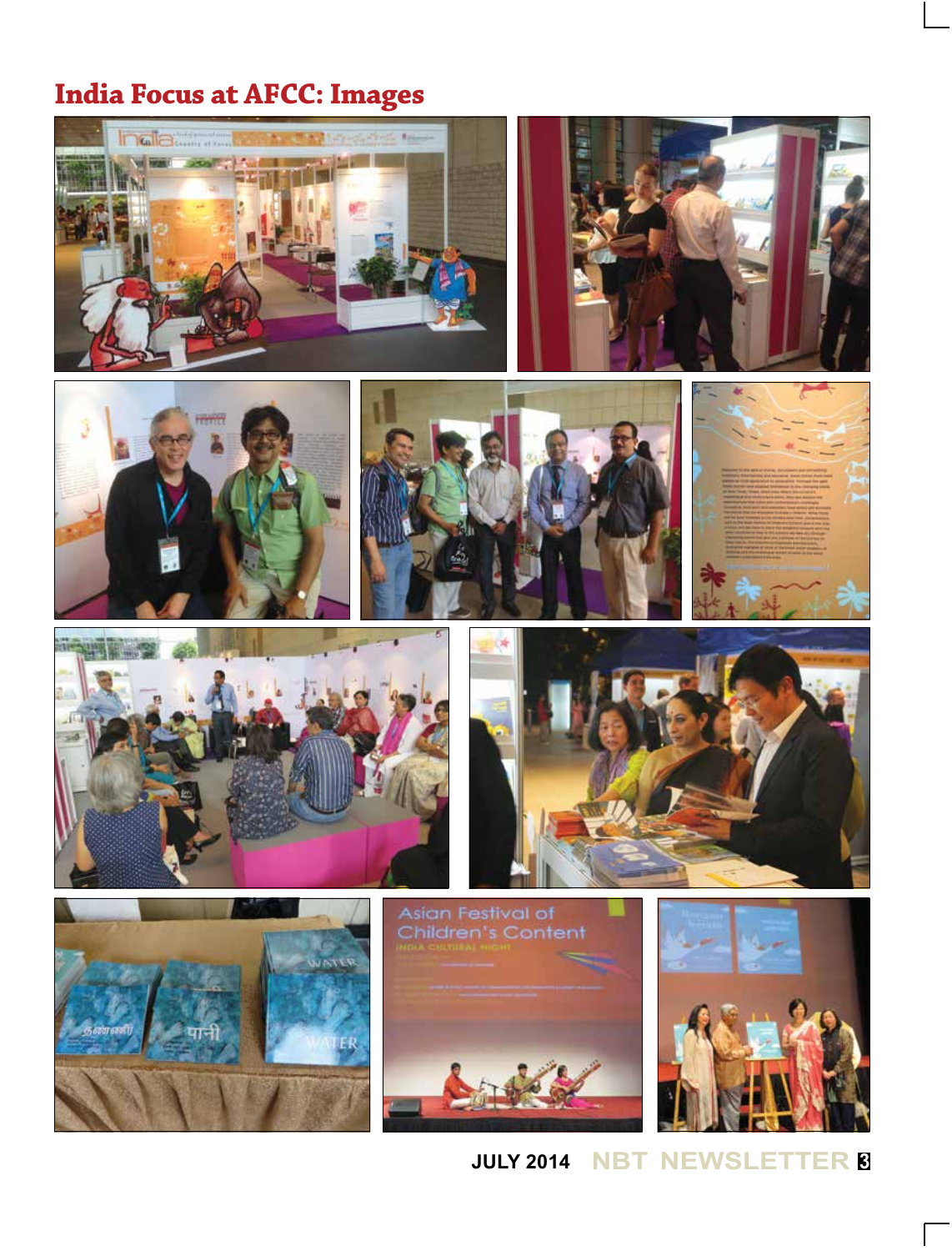## **India Focus at AFCC: Images**



**JULY 2014 NBT NEWSLETTER <sup>3</sup>**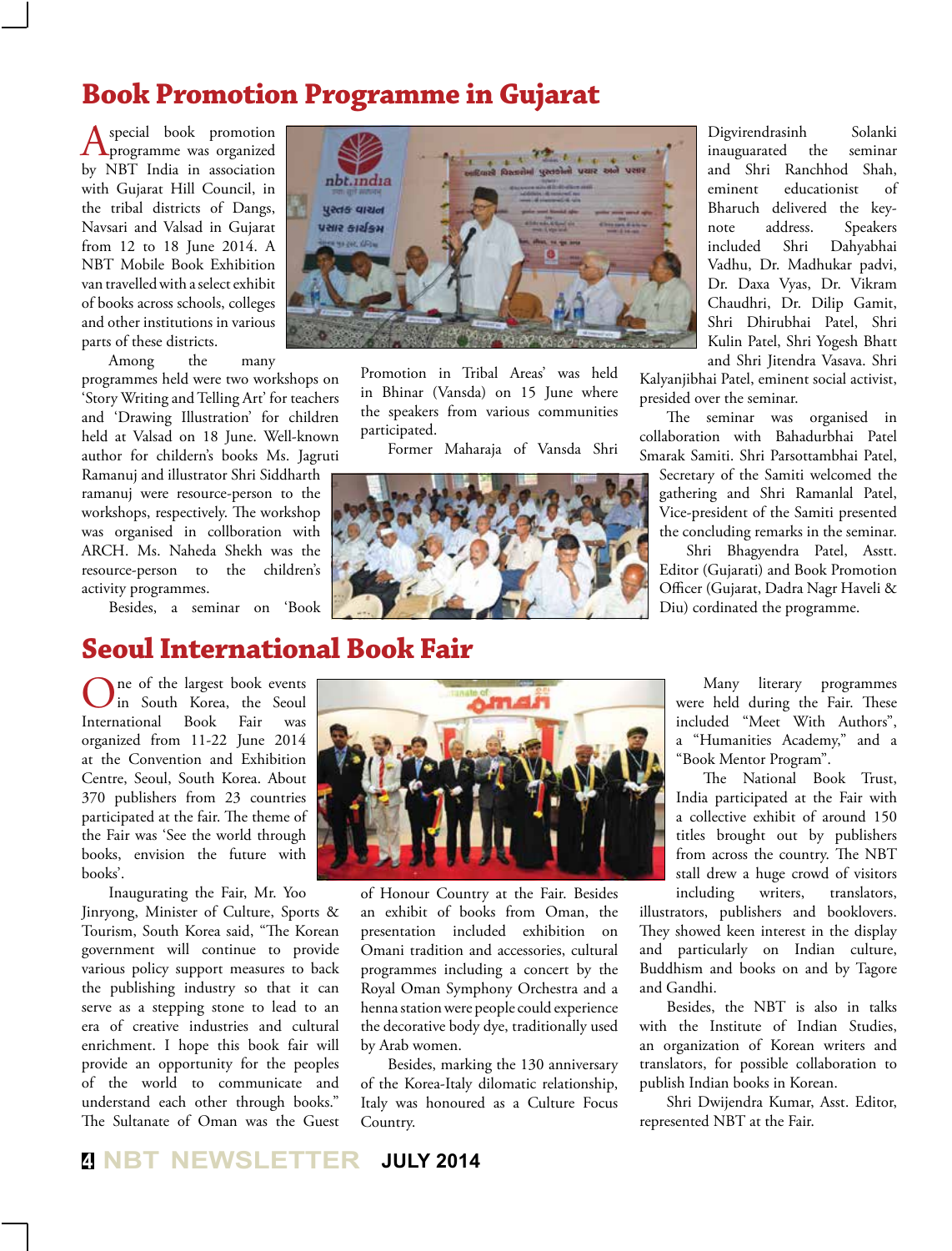## **Book Promotion Programme in Gujarat**

A special book promotion<br>
programme was organized by NBT India in association with Gujarat Hill Council, in the tribal districts of Dangs, Navsari and Valsad in Gujarat from 12 to 18 June 2014. A NBT Mobile Book Exhibition van travelled with a select exhibit of books across schools, colleges and other institutions in various parts of these districts.

Among the many

programmes held were two workshops on 'Story Writing and Telling Art' for teachers and 'Drawing Illustration' for children held at Valsad on 18 June. Well-known author for childern's books Ms. Jagruti

Ramanuj and illustrator Shri Siddharth ramanuj were resource-person to the workshops, respectively. The workshop was organised in collboration with ARCH. Ms. Naheda Shekh was the resource-person to the children's activity programmes.

Besides, a seminar on 'Book

## **Seoul International Book Fair**

ne of the largest book events<br>in South Korea, the Seoul<br>national Book Fair was in South Korea, the Seoul International Book organized from 11-22 June 2014 at the Convention and Exhibition Centre, Seoul, South Korea. About 370 publishers from 23 countries participated at the fair. The theme of the Fair was 'See the world through books, envision the future with books'.

Inaugurating the Fair, Mr. Yoo Jinryong, Minister of Culture, Sports & Tourism, South Korea said, "The Korean government will continue to provide various policy support measures to back the publishing industry so that it can serve as a stepping stone to lead to an era of creative industries and cultural enrichment. I hope this book fair will provide an opportunity for the peoples of the world to communicate and understand each other through books." The Sultanate of Oman was the Guest



Promotion in Tribal Areas' was held in Bhinar (Vansda) on 15 June where the speakers from various communities participated.

Former Maharaja of Vansda Shri



Digvirendrasinh Solanki inauguarated the seminar and Shri Ranchhod Shah, eminent educationist of Bharuch delivered the keynote address. Speakers included Shri Dahyabhai Vadhu, Dr. Madhukar padvi, Dr. Daxa Vyas, Dr. Vikram Chaudhri, Dr. Dilip Gamit, Shri Dhirubhai Patel, Shri Kulin Patel, Shri Yogesh Bhatt and Shri Jitendra Vasava. Shri

Kalyanjibhai Patel, eminent social activist, presided over the seminar.

The seminar was organised in collaboration with Bahadurbhai Patel Smarak Samiti. Shri Parsottambhai Patel, Secretary of the Samiti welcomed the gathering and Shri Ramanlal Patel, Vice-president of the Samiti presented the concluding remarks in the seminar.

Shri Bhagyendra Patel, Asstt. Editor (Gujarati) and Book Promotion Officer (Gujarat, Dadra Nagr Haveli & Diu) cordinated the programme.



of Honour Country at the Fair. Besides an exhibit of books from Oman, the presentation included exhibition on Omani tradition and accessories, cultural programmes including a concert by the Royal Oman Symphony Orchestra and a henna station were people could experience the decorative body dye, traditionally used by Arab women.

Besides, marking the 130 anniversary of the Korea-Italy dilomatic relationship, Italy was honoured as a Culture Focus Country.

Many literary programmes were held during the Fair. These included "Meet With Authors", a "Humanities Academy," and a "Book Mentor Program".

The National Book Trust, India participated at the Fair with a collective exhibit of around 150 titles brought out by publishers from across the country. The NBT stall drew a huge crowd of visitors including writers, translators,

illustrators, publishers and booklovers. They showed keen interest in the display and particularly on Indian culture, Buddhism and books on and by Tagore and Gandhi.

Besides, the NBT is also in talks with the Institute of Indian Studies, an organization of Korean writers and translators, for possible collaboration to publish Indian books in Korean.

Shri Dwijendra Kumar, Asst. Editor, represented NBT at the Fair.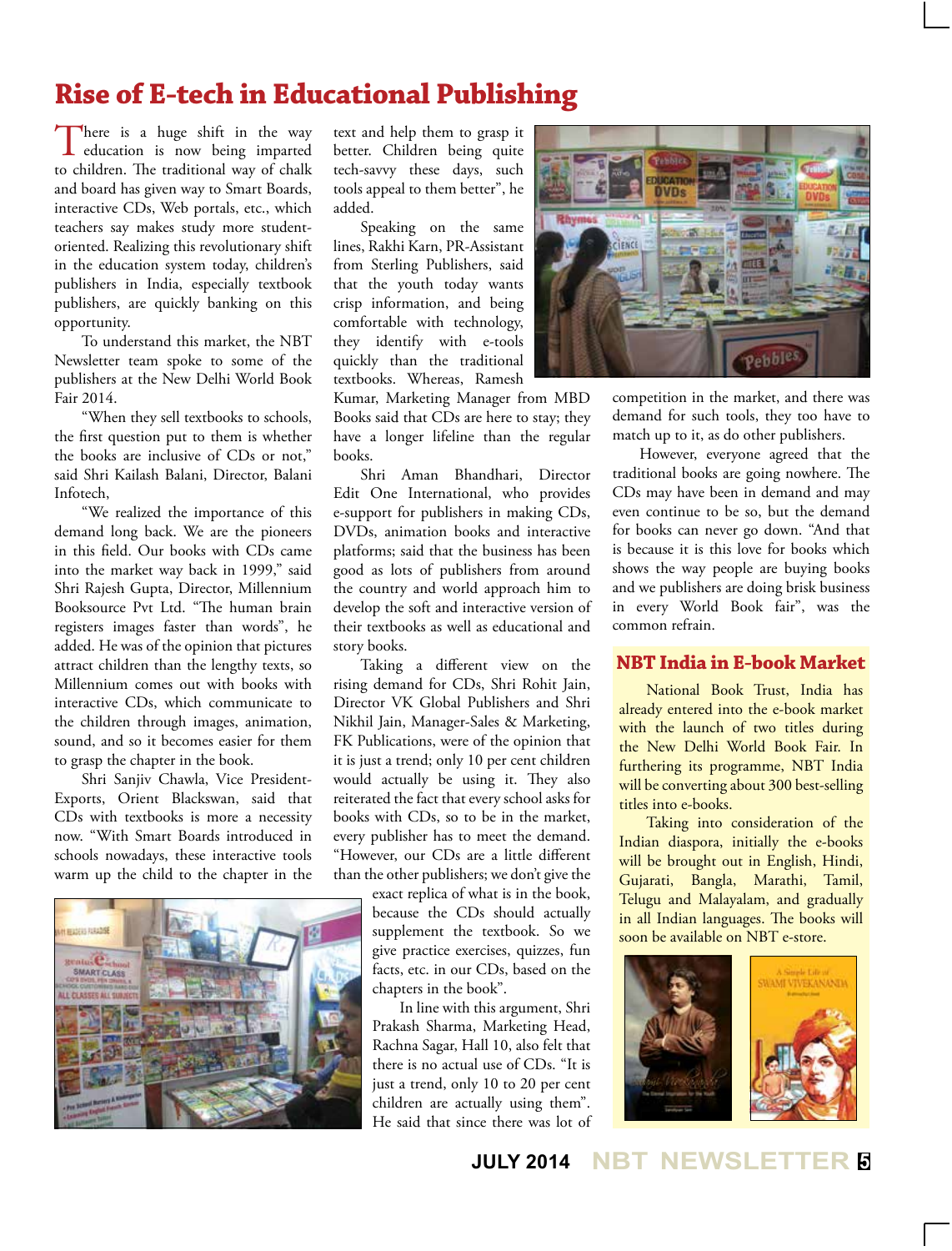## **Rise of E-tech in Educational Publishing**

There is a huge shift in the way<br>education is now being imparted to children. The traditional way of chalk and board has given way to Smart Boards, interactive CDs, Web portals, etc., which teachers say makes study more studentoriented. Realizing this revolutionary shift in the education system today, children's publishers in India, especially textbook publishers, are quickly banking on this opportunity.

To understand this market, the NBT Newsletter team spoke to some of the publishers at the New Delhi World Book Fair 2014.

"When they sell textbooks to schools, the first question put to them is whether the books are inclusive of CDs or not," said Shri Kailash Balani, Director, Balani Infotech,

"We realized the importance of this demand long back. We are the pioneers in this field. Our books with CDs came into the market way back in 1999," said Shri Rajesh Gupta, Director, Millennium Booksource Pvt Ltd. "The human brain registers images faster than words", he added. He was of the opinion that pictures attract children than the lengthy texts, so Millennium comes out with books with interactive CDs, which communicate to the children through images, animation, sound, and so it becomes easier for them to grasp the chapter in the book.

Shri Sanjiv Chawla, Vice President-Exports, Orient Blackswan, said that CDs with textbooks is more a necessity now. "With Smart Boards introduced in schools nowadays, these interactive tools warm up the child to the chapter in the



text and help them to grasp it better. Children being quite tech-savvy these days, such tools appeal to them better", he added.

Speaking on the same lines, Rakhi Karn, PR-Assistant from Sterling Publishers, said that the youth today wants crisp information, and being comfortable with technology, they identify with e-tools quickly than the traditional textbooks. Whereas, Ramesh

Kumar, Marketing Manager from MBD Books said that CDs are here to stay; they have a longer lifeline than the regular books.

Shri Aman Bhandhari, Director Edit One International, who provides e-support for publishers in making CDs, DVDs, animation books and interactive platforms; said that the business has been good as lots of publishers from around the country and world approach him to develop the soft and interactive version of their textbooks as well as educational and story books.

Taking a different view on the rising demand for CDs, Shri Rohit Jain, Director VK Global Publishers and Shri Nikhil Jain, Manager-Sales & Marketing, FK Publications, were of the opinion that it is just a trend; only 10 per cent children would actually be using it. They also reiterated the fact that every school asks for books with CDs, so to be in the market, every publisher has to meet the demand. "However, our CDs are a little different than the other publishers; we don't give the

> exact replica of what is in the book, because the CDs should actually supplement the textbook. So we give practice exercises, quizzes, fun facts, etc. in our CDs, based on the chapters in the book".

In line with this argument, Shri Prakash Sharma, Marketing Head, Rachna Sagar, Hall 10, also felt that there is no actual use of CDs. "It is just a trend, only 10 to 20 per cent children are actually using them". He said that since there was lot of



competition in the market, and there was demand for such tools, they too have to match up to it, as do other publishers.

However, everyone agreed that the traditional books are going nowhere. The CDs may have been in demand and may even continue to be so, but the demand for books can never go down. "And that is because it is this love for books which shows the way people are buying books and we publishers are doing brisk business in every World Book fair", was the common refrain.

#### **NBT India in E-book Market**

National Book Trust, India has already entered into the e-book market with the launch of two titles during the New Delhi World Book Fair. In furthering its programme, NBT India will be converting about 300 best-selling titles into e-books.

Taking into consideration of the Indian diaspora, initially the e-books will be brought out in English, Hindi, Gujarati, Bangla, Marathi, Tamil, Telugu and Malayalam, and gradually in all Indian languages. The books will soon be available on NBT e-store.



**JULY 2014 NBT NEWSLETTER <sup>5</sup>**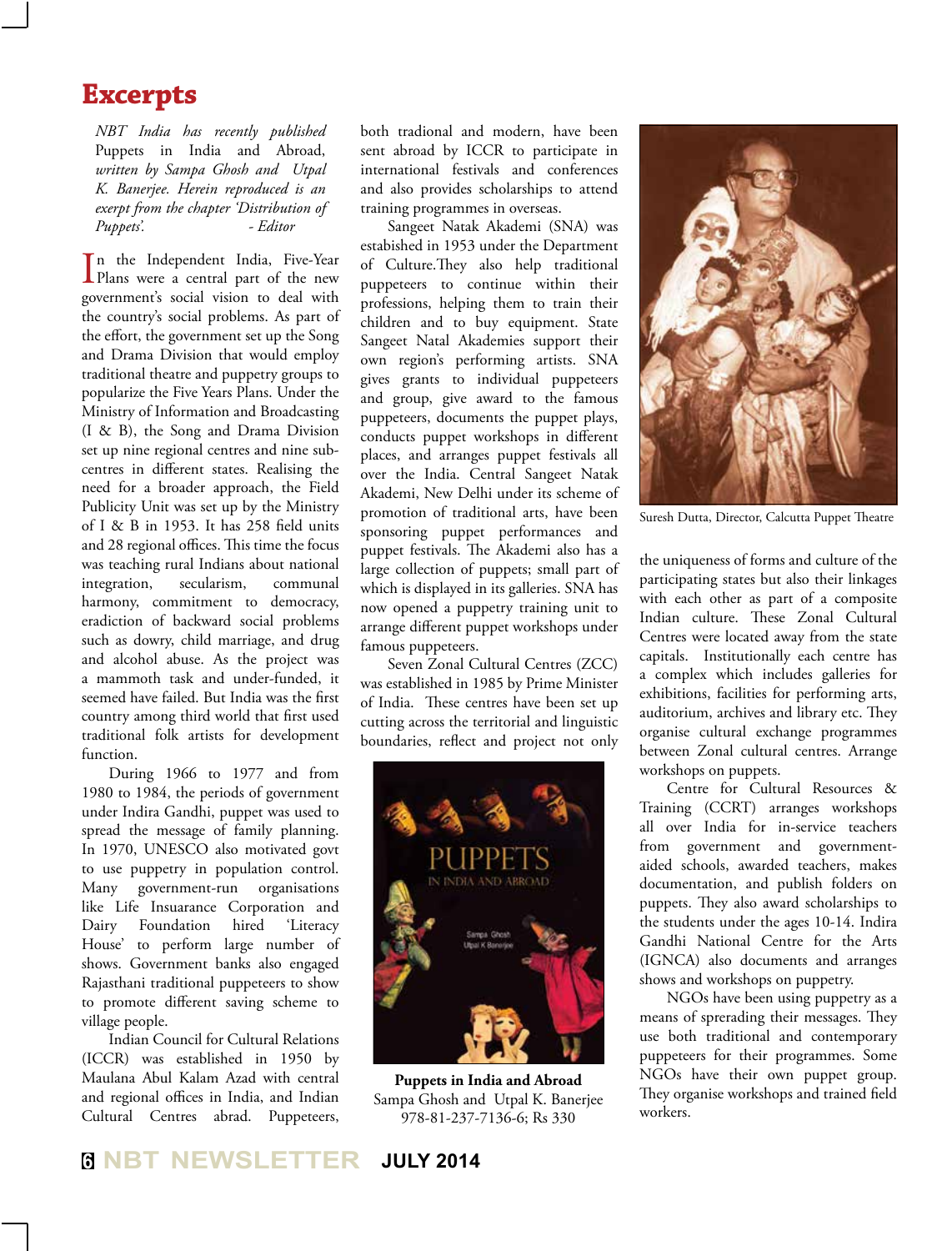## **Excerpts**

*NBT India has recently published*  Puppets in India and Abroad, *written by Sampa Ghosh and Utpal K. Banerjee. Herein reproduced is an exerpt from the chapter 'Distribution of Puppets'. - Editor*

In the Independent India, Five-Year<br>Plans were a central part of the new Plans were a central part of the new government's social vision to deal with the country's social problems. As part of the effort, the government set up the Song and Drama Division that would employ traditional theatre and puppetry groups to popularize the Five Years Plans. Under the Ministry of Information and Broadcasting (I & B), the Song and Drama Division set up nine regional centres and nine subcentres in different states. Realising the need for a broader approach, the Field Publicity Unit was set up by the Ministry of I & B in 1953. It has 258 field units and 28 regional offices. This time the focus was teaching rural Indians about national integration, secularism, communal harmony, commitment to democracy, eradiction of backward social problems such as dowry, child marriage, and drug and alcohol abuse. As the project was a mammoth task and under-funded, it seemed have failed. But India was the first country among third world that first used traditional folk artists for development function.

During 1966 to 1977 and from 1980 to 1984, the periods of government under Indira Gandhi, puppet was used to spread the message of family planning. In 1970, UNESCO also motivated govt to use puppetry in population control. Many government-run organisations like Life Insuarance Corporation and Dairy Foundation hired 'Literacy House' to perform large number of shows. Government banks also engaged Rajasthani traditional puppeteers to show to promote different saving scheme to village people.

Indian Council for Cultural Relations (ICCR) was established in 1950 by Maulana Abul Kalam Azad with central and regional offices in India, and Indian Cultural Centres abrad. Puppeteers, both tradional and modern, have been sent abroad by ICCR to participate in international festivals and conferences and also provides scholarships to attend training programmes in overseas.

Sangeet Natak Akademi (SNA) was estabished in 1953 under the Department of Culture.They also help traditional puppeteers to continue within their professions, helping them to train their children and to buy equipment. State Sangeet Natal Akademies support their own region's performing artists. SNA gives grants to individual puppeteers and group, give award to the famous puppeteers, documents the puppet plays, conducts puppet workshops in different places, and arranges puppet festivals all over the India. Central Sangeet Natak Akademi, New Delhi under its scheme of promotion of traditional arts, have been sponsoring puppet performances and puppet festivals. The Akademi also has a large collection of puppets; small part of which is displayed in its galleries. SNA has now opened a puppetry training unit to arrange different puppet workshops under famous puppeteers.

Seven Zonal Cultural Centres (ZCC) was established in 1985 by Prime Minister of India. These centres have been set up cutting across the territorial and linguistic boundaries, reflect and project not only



**Puppets in India and Abroad** Sampa Ghosh and Utpal K. Banerjee 978-81-237-7136-6; Rs 330



Suresh Dutta, Director, Calcutta Puppet Theatre

the uniqueness of forms and culture of the participating states but also their linkages with each other as part of a composite Indian culture. These Zonal Cultural Centres were located away from the state capitals. Institutionally each centre has a complex which includes galleries for exhibitions, facilities for performing arts, auditorium, archives and library etc. They organise cultural exchange programmes between Zonal cultural centres. Arrange workshops on puppets.

Centre for Cultural Resources & Training (CCRT) arranges workshops all over India for in-service teachers from government and governmentaided schools, awarded teachers, makes documentation, and publish folders on puppets. They also award scholarships to the students under the ages 10-14. Indira Gandhi National Centre for the Arts (IGNCA) also documents and arranges shows and workshops on puppetry.

NGOs have been using puppetry as a means of sprerading their messages. They use both traditional and contemporary puppeteers for their programmes. Some NGOs have their own puppet group. They organise workshops and trained field workers.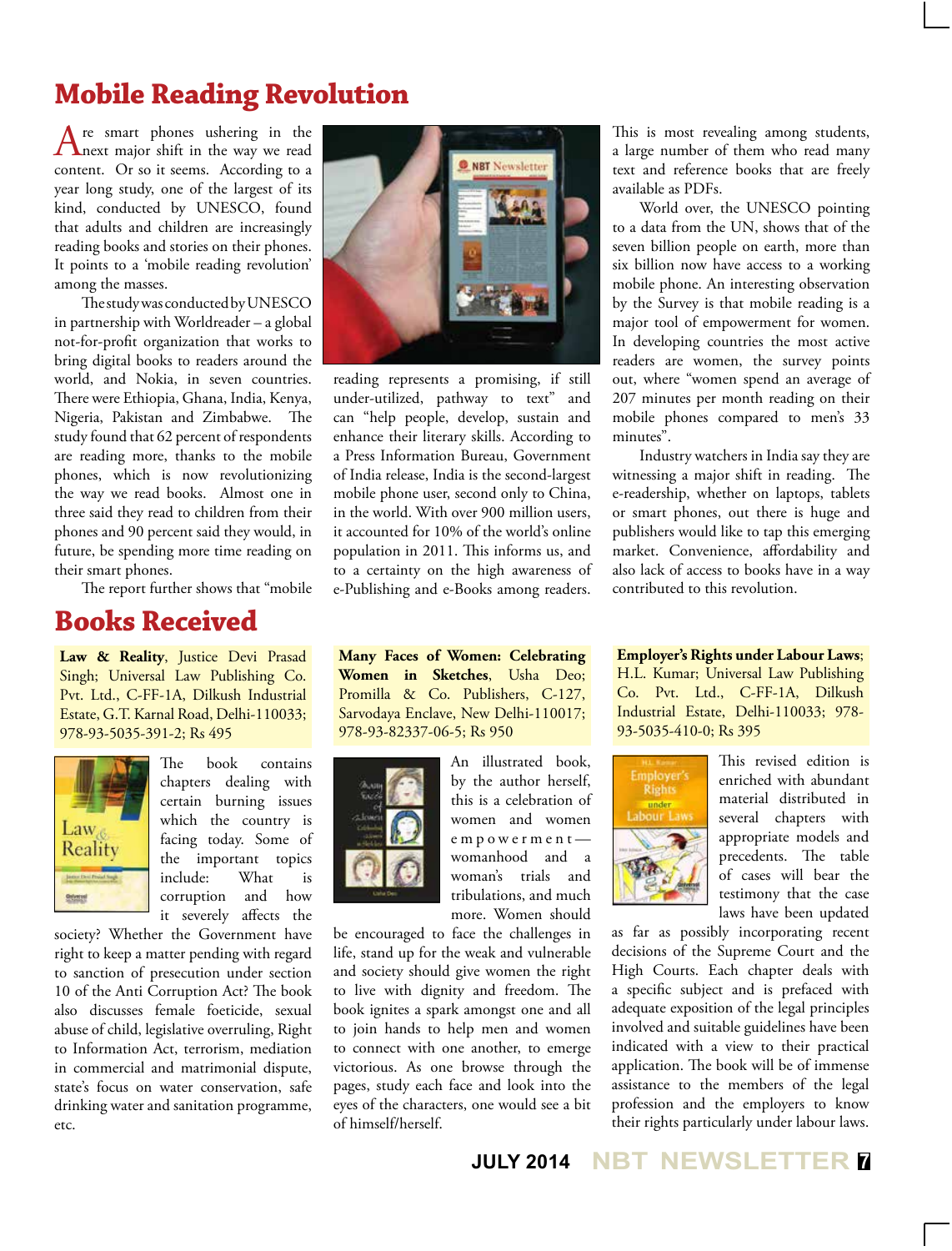## **Mobile Reading Revolution**

Are smart phones ushering in the next major shift in the way we read content. Or so it seems. According to a year long study, one of the largest of its kind, conducted by UNESCO, found that adults and children are increasingly reading books and stories on their phones. It points to a 'mobile reading revolution' among the masses.

The study was conducted by UNESCO in partnership with Worldreader – a global not-for-profit organization that works to bring digital books to readers around the world, and Nokia, in seven countries. There were Ethiopia, Ghana, India, Kenya, Nigeria, Pakistan and Zimbabwe. The study found that 62 percent of respondents are reading more, thanks to the mobile phones, which is now revolutionizing the way we read books. Almost one in three said they read to children from their phones and 90 percent said they would, in future, be spending more time reading on their smart phones.

The report further shows that "mobile

## **Books Received**

Law & Reality, Justice Devi Prasad Singh; Universal Law Publishing Co. Pvt. Ltd., C-FF-1A, Dilkush Industrial Estate, G.T. Karnal Road, Delhi-110033; 978-93-5035-391-2; Rs 495



The book contains chapters dealing with certain burning issues which the country is facing today. Some of the important topics include: What is corruption and how it severely affects the

society? Whether the Government have right to keep a matter pending with regard to sanction of presecution under section 10 of the Anti Corruption Act? The book also discusses female foeticide, sexual abuse of child, legislative overruling, Right to Information Act, terrorism, mediation in commercial and matrimonial dispute, state's focus on water conservation, safe drinking water and sanitation programme, etc.



reading represents a promising, if still under-utilized, pathway to text" and can "help people, develop, sustain and enhance their literary skills. According to a Press Information Bureau, Government of India release, India is the second-largest mobile phone user, second only to China, in the world. With over 900 million users, it accounted for 10% of the world's online population in 2011. This informs us, and to a certainty on the high awareness of e-Publishing and e-Books among readers.

**Many Faces of Women: Celebrating Women in Sketches**, Usha Deo; Promilla & Co. Publishers, C-127, Sarvodaya Enclave, New Delhi-110017; 978-93-82337-06-5; Rs 950



An illustrated book, by the author herself, this is a celebration of women and women empowerment womanhood and a woman's trials and tribulations, and much more. Women should

be encouraged to face the challenges in life, stand up for the weak and vulnerable and society should give women the right to live with dignity and freedom. The book ignites a spark amongst one and all to join hands to help men and women to connect with one another, to emerge victorious. As one browse through the pages, study each face and look into the eyes of the characters, one would see a bit of himself/herself.

This is most revealing among students, a large number of them who read many text and reference books that are freely available as PDFs.

World over, the UNESCO pointing to a data from the UN, shows that of the seven billion people on earth, more than six billion now have access to a working mobile phone. An interesting observation by the Survey is that mobile reading is a major tool of empowerment for women. In developing countries the most active readers are women, the survey points out, where "women spend an average of 207 minutes per month reading on their mobile phones compared to men's 33 minutes".

Industry watchers in India say they are witnessing a major shift in reading. The e-readership, whether on laptops, tablets or smart phones, out there is huge and publishers would like to tap this emerging market. Convenience, affordability and also lack of access to books have in a way contributed to this revolution.

**Employer's Rights under Labour Laws**; H.L. Kumar; Universal Law Publishing Co. Pvt. Ltd., C-FF-1A, Dilkush Industrial Estate, Delhi-110033; 978- 93-5035-410-0; Rs 395



This revised edition is enriched with abundant material distributed in several chapters with appropriate models and precedents. The table of cases will bear the testimony that the case laws have been updated

as far as possibly incorporating recent decisions of the Supreme Court and the High Courts. Each chapter deals with a specific subject and is prefaced with adequate exposition of the legal principles involved and suitable guidelines have been indicated with a view to their practical application. The book will be of immense assistance to the members of the legal profession and the employers to know their rights particularly under labour laws.